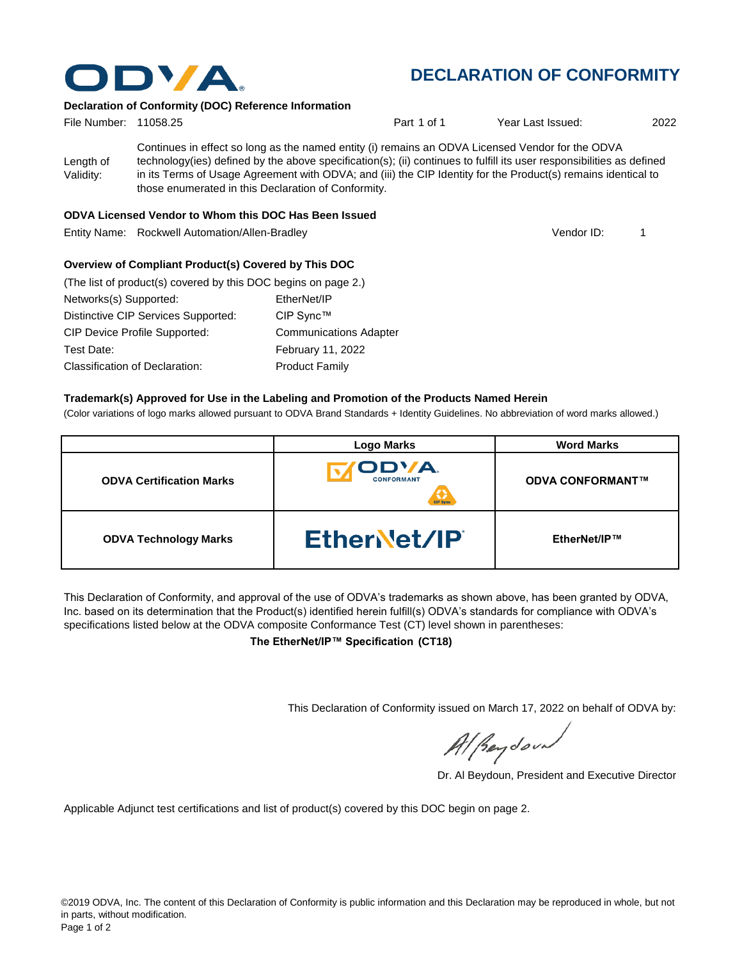

# **DECLARATION OF CONFORMITY**

#### **Declaration of Conformity (DOC) Reference Information**

| File Number: 11058.25  |                                                     | Part 1 of 1                                                                                                                                                                                                                                                                                                                                | Year Last Issued: | 2022 |
|------------------------|-----------------------------------------------------|--------------------------------------------------------------------------------------------------------------------------------------------------------------------------------------------------------------------------------------------------------------------------------------------------------------------------------------------|-------------------|------|
| Length of<br>Validity: | those enumerated in this Declaration of Conformity. | Continues in effect so long as the named entity (i) remains an ODVA Licensed Vendor for the ODVA<br>technology(ies) defined by the above specification(s); (ii) continues to fulfill its user responsibilities as defined<br>in its Terms of Usage Agreement with ODVA; and (iii) the CIP Identity for the Product(s) remains identical to |                   |      |

#### **ODVA Licensed Vendor to Whom this DOC Has Been Issued**

Entity Name: Rockwell Automation/Allen-Bradley 1

Vendor ID:

#### **Overview of Compliant Product(s) Covered by This DOC**

| (The list of product(s) covered by this DOC begins on page 2.) |                               |
|----------------------------------------------------------------|-------------------------------|
| Networks(s) Supported:                                         | EtherNet/IP                   |
| Distinctive CIP Services Supported:                            | CIP Sync™                     |
| <b>CIP Device Profile Supported:</b>                           | <b>Communications Adapter</b> |
| Test Date:                                                     | <b>February 11, 2022</b>      |
| Classification of Declaration:                                 | <b>Product Family</b>         |

#### **Trademark(s) Approved for Use in the Labeling and Promotion of the Products Named Herein**

(Color variations of logo marks allowed pursuant to ODVA Brand Standards + Identity Guidelines. No abbreviation of word marks allowed.)

|                                 | <b>Logo Marks</b>                      | <b>Word Marks</b>       |
|---------------------------------|----------------------------------------|-------------------------|
| <b>ODVA Certification Marks</b> | ODVA.<br><b>CONFORMANT</b><br>CIP Sync | <b>ODVA CONFORMANT™</b> |
| <b>ODVA Technology Marks</b>    | EtherNet/IP                            | EtherNet/IP™            |

This Declaration of Conformity, and approval of the use of ODVA's trademarks as shown above, has been granted by ODVA, Inc. based on its determination that the Product(s) identified herein fulfill(s) ODVA's standards for compliance with ODVA's specifications listed below at the ODVA composite Conformance Test (CT) level shown in parentheses:

**The EtherNet/IP™ Specification (CT18)**

This Declaration of Conformity issued on March 17, 2022 on behalf of ODVA by:

Al Beydoor

Dr. Al Beydoun, President and Executive Director

Applicable Adjunct test certifications and list of product(s) covered by this DOC begin on page 2.